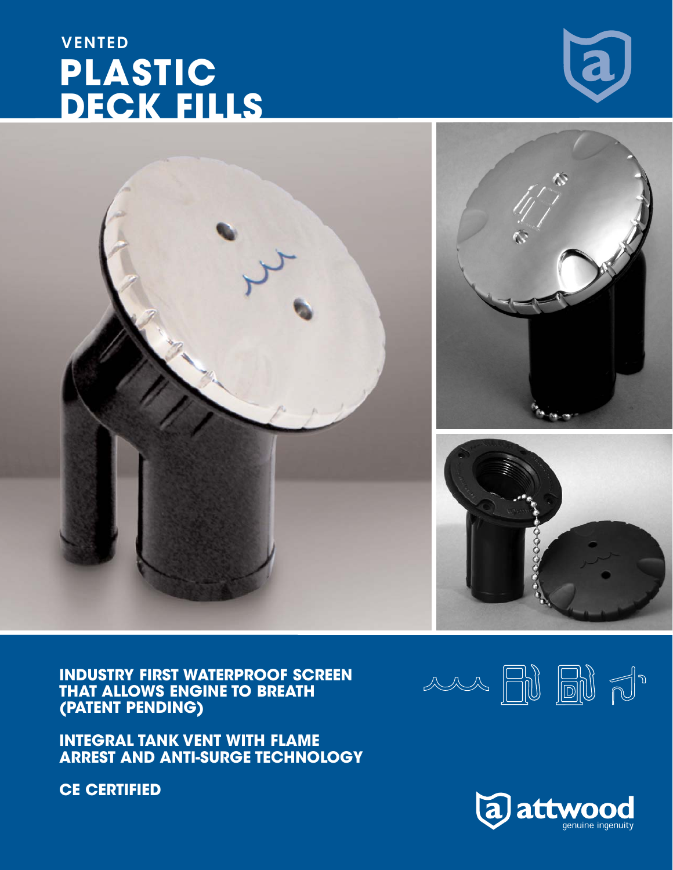**INDUSTRY FIRST WATERPROOF SCREEN THAT ALLOWS ENGINE TO BREATH (PATENT PENDING)**

**INTEGRAL TANK VENT WITH FLAME ARREST AND ANTI-SURGE TECHNOLOGY**

**CE CERTIFIED**

## **DECK FILLS**

VENTED **PLASTIC**